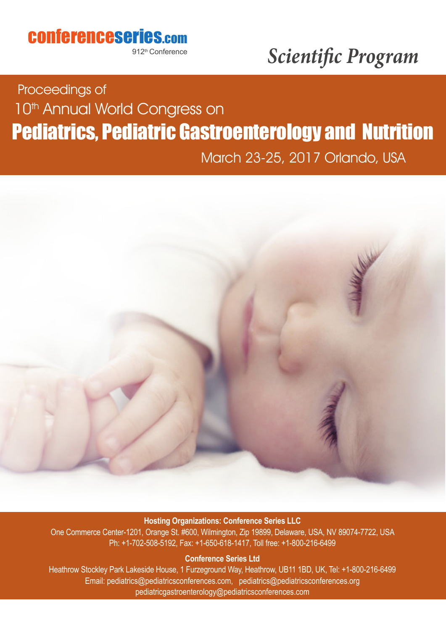## conferenceseries.com

912<sup>th</sup> Conference

# *Scientific Program*

## Pediatrics, Pediatric Gastroenterology and Nutrition Proceedings of 10<sup>th</sup> Annual World Congress on

March 23-25, 2017 Orlando, USA



#### **Hosting Organizations: Conference Series LLC**

One Commerce Center-1201, Orange St. #600, Wilmington, Zip 19899, Delaware, USA, NV 89074-7722, USA Ph: +1-702-508-5192, Fax: +1-650-618-1417, Toll free: +1-800-216-6499

#### **Conference Series Ltd**

Heathrow Stockley Park Lakeside House, 1 Furzeground Way, Heathrow, UB11 1BD, UK, Tel: +1-800-216-6499 Email: pediatrics@pediatricsconferences.com, pediatrics@pediatricsconferences.org pediatricgastroenterology@pediatricsconferences.com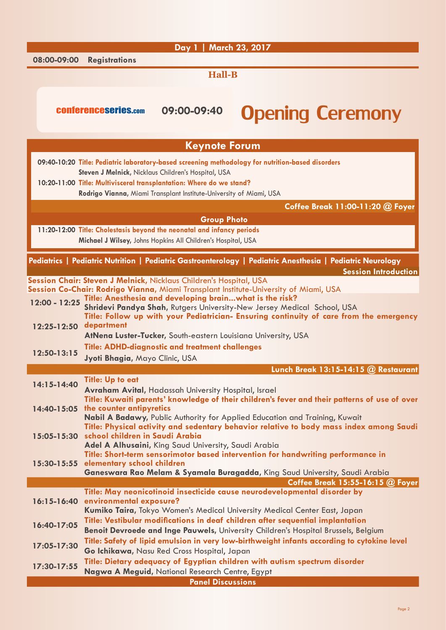|               |                                                                                                                                                                                   | Day 1   March 23, 2017                                                 |                                                                                                   |                                                                                                            |  |
|---------------|-----------------------------------------------------------------------------------------------------------------------------------------------------------------------------------|------------------------------------------------------------------------|---------------------------------------------------------------------------------------------------|------------------------------------------------------------------------------------------------------------|--|
| 08:00-09:00   | <b>Registrations</b>                                                                                                                                                              |                                                                        |                                                                                                   |                                                                                                            |  |
|               |                                                                                                                                                                                   | <b>Hall-B</b>                                                          |                                                                                                   |                                                                                                            |  |
|               |                                                                                                                                                                                   |                                                                        |                                                                                                   |                                                                                                            |  |
|               |                                                                                                                                                                                   |                                                                        |                                                                                                   |                                                                                                            |  |
|               | <b>CONferenceseries.com</b>                                                                                                                                                       | 09:00-09:40                                                            |                                                                                                   | <b>Opening Ceremony</b>                                                                                    |  |
|               |                                                                                                                                                                                   |                                                                        |                                                                                                   |                                                                                                            |  |
|               |                                                                                                                                                                                   | <b>Keynote Forum</b>                                                   |                                                                                                   |                                                                                                            |  |
|               |                                                                                                                                                                                   |                                                                        | 09:40-10:20 Title: Pediatric laboratory-based screening methodology for nutrition-based disorders |                                                                                                            |  |
|               |                                                                                                                                                                                   | Steven J Melnick, Nicklaus Children's Hospital, USA                    |                                                                                                   |                                                                                                            |  |
|               |                                                                                                                                                                                   | 10:20-11:00 Title: Multivisceral transplantation: Where do we stand?   |                                                                                                   |                                                                                                            |  |
|               |                                                                                                                                                                                   | Rodrigo Vianna, Miami Transplant Institute-University of Miami, USA    |                                                                                                   |                                                                                                            |  |
|               |                                                                                                                                                                                   |                                                                        |                                                                                                   | Coffee Break 11:00-11:20 @ Foyer                                                                           |  |
|               |                                                                                                                                                                                   | <b>Group Photo</b>                                                     |                                                                                                   |                                                                                                            |  |
|               |                                                                                                                                                                                   | 11:20-12:00 Title: Cholestasis beyond the neonatal and infancy periods |                                                                                                   |                                                                                                            |  |
|               |                                                                                                                                                                                   | Michael J Wilsey, Johns Hopkins All Children's Hospital, USA           |                                                                                                   |                                                                                                            |  |
|               |                                                                                                                                                                                   |                                                                        |                                                                                                   | Pediatrics   Pediatric Nutrition   Pediatric Gastroenterology   Pediatric Anesthesia   Pediatric Neurology |  |
|               |                                                                                                                                                                                   |                                                                        |                                                                                                   | <b>Session Introduction</b>                                                                                |  |
|               |                                                                                                                                                                                   | Session Chair: Steven J Melnick, Nicklaus Children's Hospital, USA     | Session Co-Chair: Rodrigo Vianna, Miami Transplant Institute-University of Miami, USA             |                                                                                                            |  |
|               |                                                                                                                                                                                   | Title: Anesthesia and developing brainwhat is the risk?                |                                                                                                   |                                                                                                            |  |
| 12:00 - 12:25 |                                                                                                                                                                                   |                                                                        | Shridevi Pandya Shah, Rutgers University-New Jersey Medical School, USA                           |                                                                                                            |  |
| 12:25-12:50   | department                                                                                                                                                                        |                                                                        |                                                                                                   | Title: Follow up with your Pediatrician- Ensuring continuity of care from the emergency                    |  |
|               |                                                                                                                                                                                   | AtNena Luster-Tucker, South-eastern Louisiana University, USA          |                                                                                                   |                                                                                                            |  |
|               |                                                                                                                                                                                   | <b>Title: ADHD-diagnostic and treatment challenges</b>                 |                                                                                                   |                                                                                                            |  |
| 12:50-13:15   | Jyoti Bhagia, Mayo Clinic, USA                                                                                                                                                    |                                                                        |                                                                                                   |                                                                                                            |  |
|               |                                                                                                                                                                                   |                                                                        |                                                                                                   | Lunch Break 13:15-14:15 @ Restaurant                                                                       |  |
| 14:15-14:40   | <b>Title: Up to eat</b>                                                                                                                                                           | Avraham Avital, Hadassah University Hospital, Israel                   |                                                                                                   |                                                                                                            |  |
|               |                                                                                                                                                                                   |                                                                        |                                                                                                   | Title: Kuwaiti parents' knowledge of their children's fever and their patterns of use of over              |  |
|               | 14:40-15:05 the counter antipyretics                                                                                                                                              |                                                                        |                                                                                                   |                                                                                                            |  |
|               |                                                                                                                                                                                   |                                                                        | Nabil A Badawy, Public Authority for Applied Education and Training, Kuwait                       | Title: Physical activity and sedentary behavior relative to body mass index among Saudi                    |  |
|               | 15:05-15:30 school children in Saudi Arabia                                                                                                                                       |                                                                        |                                                                                                   |                                                                                                            |  |
|               |                                                                                                                                                                                   | Adel A Alhusaini, King Saud University, Saudi Arabia                   |                                                                                                   |                                                                                                            |  |
|               | 15:30-15:55 elementary school children                                                                                                                                            |                                                                        | Title: Short-term sensorimotor based intervention for handwriting performance in                  |                                                                                                            |  |
|               |                                                                                                                                                                                   |                                                                        | Ganeswara Rao Melam & Syamala Buragadda, King Saud University, Saudi Arabia                       |                                                                                                            |  |
|               |                                                                                                                                                                                   |                                                                        |                                                                                                   | Coffee Break 15:55-16:15 @ Foyer                                                                           |  |
|               | 16:15-16:40 environmental exposure?                                                                                                                                               |                                                                        | Title: May neonicotinoid insecticide cause neurodevelopmental disorder by                         |                                                                                                            |  |
|               |                                                                                                                                                                                   |                                                                        | Kumiko Taira, Tokyo Women's Medical University Medical Center East, Japan                         |                                                                                                            |  |
| 16:40-17:05   |                                                                                                                                                                                   |                                                                        | Title: Vestibular modifications in deaf children after sequential implantation                    |                                                                                                            |  |
|               | Benoit Devroede and Inge Pauwels, University Children's Hospital Brussels, Belgium<br>Title: Safety of lipid emulsion in very low-birthweight infants according to cytokine level |                                                                        |                                                                                                   |                                                                                                            |  |
| 17:05-17:30   |                                                                                                                                                                                   | Go Ichikawa, Nasu Red Cross Hospital, Japan                            |                                                                                                   |                                                                                                            |  |
|               |                                                                                                                                                                                   |                                                                        | Title: Dietary adequacy of Egyptian children with autism spectrum disorder                        |                                                                                                            |  |
| 17:30-17:55   |                                                                                                                                                                                   | Nagwa A Meguid, National Research Centre, Egypt                        |                                                                                                   |                                                                                                            |  |
|               |                                                                                                                                                                                   | <b>Panel Discussions</b>                                               |                                                                                                   |                                                                                                            |  |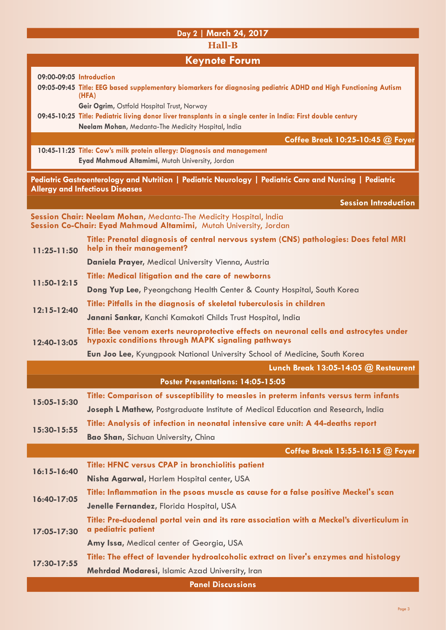### **Day 2 | March 24, 2017 Hall-B Keynote Forum 09:00-09:05 Introduction 09:05-09:45 Title: EEG based supplementary biomarkers for diagnosing pediatric ADHD and High Functioning Autism (HFA) Geir Ogrim,** Ostfold Hospital Trust, Norway **09:45-10:25 Title: Pediatric living donor liver transplants in a single center in India: First double century Neelam Mohan,** Medanta-The Medicity Hospital, India **Coffee Break 10:25-10:45 @ Foyer 10:45-11:25 Title: Cow's milk protein allergy: Diagnosis and management Eyad Mahmoud Altamimi,** Mutah University, Jordan **Pediatric Gastroenterology and Nutrition | Pediatric Neurology | Pediatric Care and Nursing | Pediatric Allergy and Infectious Diseases**

**Session Introduction**

| Session Chair: Neelam Mohan, Medanta-The Medicity Hospital, India |  |  |  |
|-------------------------------------------------------------------|--|--|--|
| Session Co-Chair: Eyad Mahmoud Altamimi, Mutah University, Jordan |  |  |  |

| $11:25-11:50$ | Title: Prenatal diagnosis of central nervous system (CNS) pathologies: Does fetal MRI<br>help in their management? |
|---------------|--------------------------------------------------------------------------------------------------------------------|
|               | Daniela Prayer, Medical University Vienna, Austria                                                                 |
| $11:50-12:15$ | Title: Medical litigation and the care of newborns                                                                 |

**Dong Yup Lee,** Pyeongchang Health Center & County Hospital, South Korea

- **12:15-12:40 Title: Pitfalls in the diagnosis of skeletal tuberculosis in children**
	- **Janani Sankar,** Kanchi Kamakoti Childs Trust Hospital, India
- **12:40-13:05 Title: Bee venom exerts neuroprotective effects on neuronal cells and astrocytes under hypoxic conditions through MAPK signaling pathways**

**Eun Joo Lee,** Kyungpook National University School of Medicine, South Korea

|                                   | Lunch Break 13:05-14:05 @ Restaurent                                                                            |  |  |
|-----------------------------------|-----------------------------------------------------------------------------------------------------------------|--|--|
| Poster Presentations: 14:05-15:05 |                                                                                                                 |  |  |
| 15:05-15:30                       | Title: Comparison of susceptibility to measles in preterm infants versus term infants                           |  |  |
|                                   | Joseph L Mathew, Postgraduate Institute of Medical Education and Research, India                                |  |  |
| 15:30-15:55                       | Title: Analysis of infection in neonatal intensive care unit: A 44-deaths report                                |  |  |
|                                   | <b>Bao Shan, Sichuan University, China</b>                                                                      |  |  |
|                                   | Coffee Break 15:55-16:15 @ Foyer                                                                                |  |  |
| $16:15 - 16:40$                   | Title: HFNC versus CPAP in bronchiolitis patient                                                                |  |  |
|                                   | Nisha Agarwal, Harlem Hospital center, USA                                                                      |  |  |
| 16:40-17:05                       | Title: Inflammation in the psoas muscle as cause for a false positive Meckel's scan                             |  |  |
|                                   | Jenelle Fernandez, Florida Hospital, USA                                                                        |  |  |
| $17:05 - 17:30$                   | Title: Pre-duodenal portal vein and its rare association with a Meckel's diverticulum in<br>a pediatric patient |  |  |
|                                   | Amy Issa, Medical center of Georgia, USA                                                                        |  |  |
| 17:30-17:55                       | Title: The effect of lavender hydroalcoholic extract on liver's enzymes and histology                           |  |  |
|                                   | Mehrdad Modaresi, Islamic Azad University, Iran                                                                 |  |  |
| <b>Panel Discussions</b>          |                                                                                                                 |  |  |

Page 3